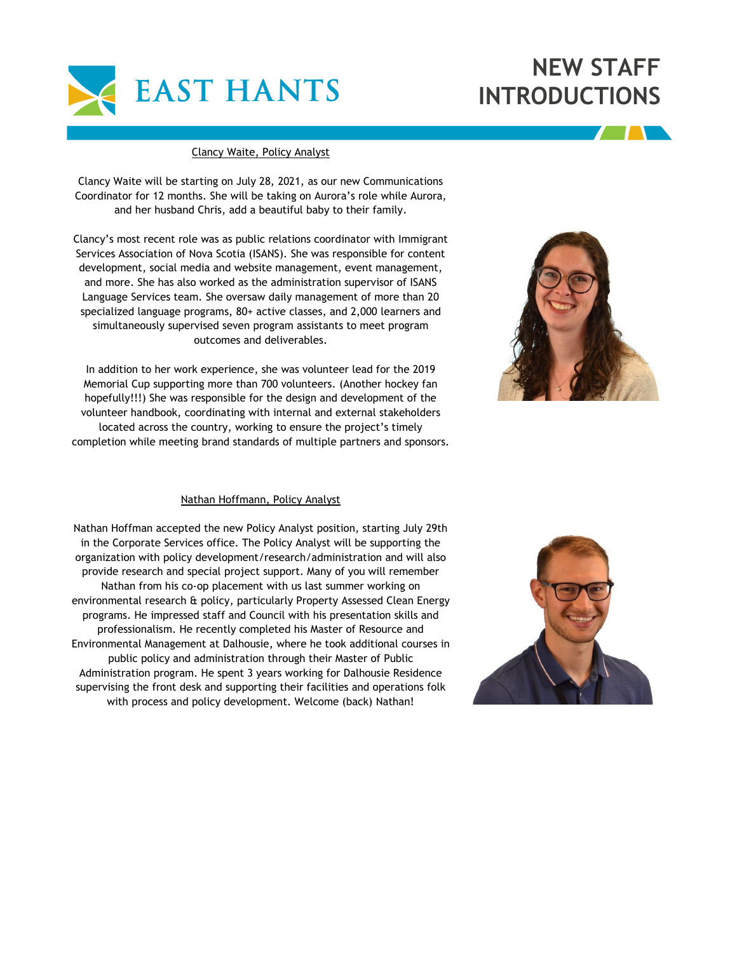

## **NEW STAFF INTRODUCTIONS**

## Clancy Waite, Policy Analyst

Clancy Waite will be starting on July 28, 2021, as our new Communications Coordinator for 12 months. She will be taking on Aurora's role while Aurora, and her husband Chris, add a beautiful baby to their family.

Clancy's most recent role was as public relations coordinator with Immigrant Services Association of Nova Scotia (ISANS). She was responsible for content development, social media and website management, event management, and more. She has also worked as the administration supervisor of ISANS Language Services team. She oversaw daily management of more than 20 specialized language programs, 80+ active classes, and 2,000 learners and simultaneously supervised seven program assistants to meet program outcomes and deliverables.

In addition to her work experience, she was volunteer lead for the 2019 Memorial Cup supporting more than 700 volunteers. (Another hockey fan hopefully!!!) She was responsible for the design and development of the volunteer handbook, coordinating with internal and external stakeholders located across the country, working to ensure the project's timely completion while meeting brand standards of multiple partners and sponsors.



## Nathan Hoffmann, Policy Analyst

Nathan Hoffman accepted the new Policy Analyst position, starting July 29th in the Corporate Services office. The Policy Analyst will be supporting the organization with policy development/research/administration and will also provide research and special project support. Many of you will remember Nathan from his co-op placement with us last summer working on environmental research & policy, particularly Property Assessed Clean Energy programs. He impressed staff and Council with his presentation skills and professionalism. He recently completed his Master of Resource and Environmental Management at Dalhousie, where he took additional courses in public policy and administration through their Master of Public Administration program. He spent 3 years working for Dalhousie Residence supervising the front desk and supporting their facilities and operations folk with process and policy development. Welcome (back) Nathan!